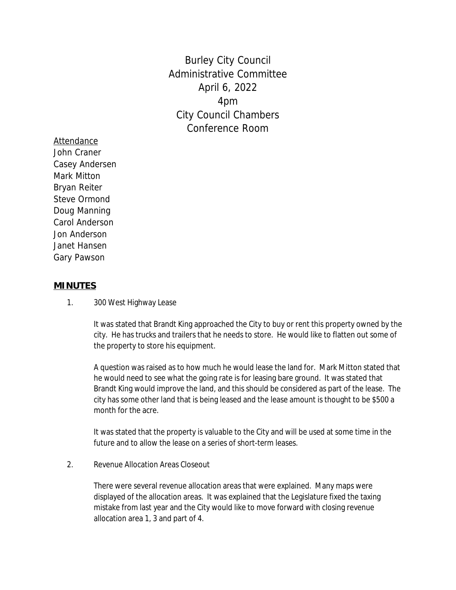Burley City Council Administrative Committee April 6, 2022 4pm City Council Chambers Conference Room

Attendance John Craner Casey Andersen Mark Mitton Bryan Reiter Steve Ormond Doug Manning Carol Anderson Jon Anderson Janet Hansen Gary Pawson

## **MINUTES**

1. 300 West Highway Lease

It was stated that Brandt King approached the City to buy or rent this property owned by the city. He has trucks and trailers that he needs to store. He would like to flatten out some of the property to store his equipment.

A question was raised as to how much he would lease the land for. Mark Mitton stated that he would need to see what the going rate is for leasing bare ground. It was stated that Brandt King would improve the land, and this should be considered as part of the lease. The city has some other land that is being leased and the lease amount is thought to be \$500 a month for the acre.

It was stated that the property is valuable to the City and will be used at some time in the future and to allow the lease on a series of short-term leases.

2. Revenue Allocation Areas Closeout

There were several revenue allocation areas that were explained. Many maps were displayed of the allocation areas. It was explained that the Legislature fixed the taxing mistake from last year and the City would like to move forward with closing revenue allocation area 1, 3 and part of 4.